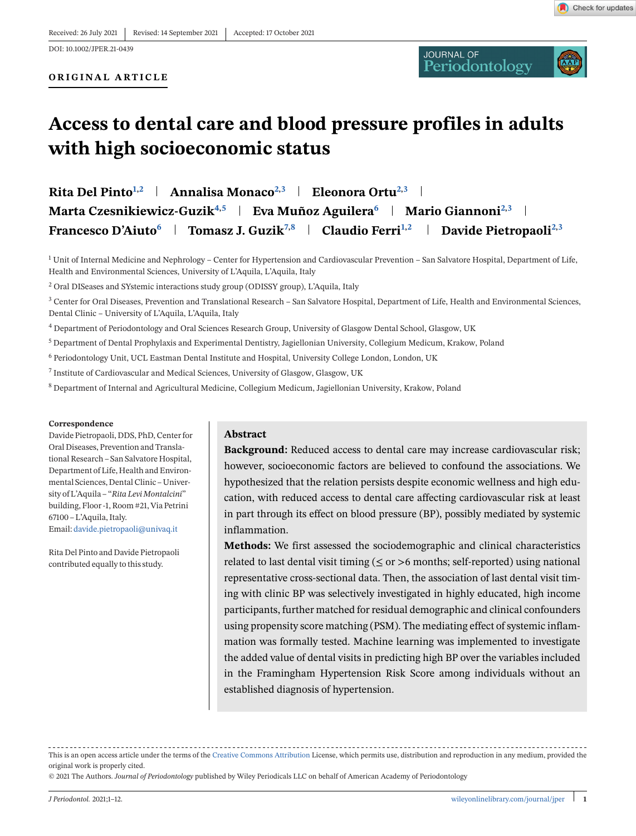**ORIGINAL ARTICLE**

**JOURNAL OF**<br>Periodontology



# **Access to dental care and blood pressure profiles in adults with high socioeconomic status**

**Rita Del Pinto**<sup>1,2</sup> **Annalisa Monaco**<sup>2,3</sup> **Eleonora Ortu**<sup>2,3</sup> **Eleonora Marta Czesnikiewicz-Guzik<sup>4,5</sup> | Eva Muñoz Aguilera<sup>6</sup> | Mario Giannoni<sup>2,3</sup> | Francesco D'Aiuto<sup>6</sup> Tomasz J. Guzik7,8 Claudio Ferri1,2 Davide Pietropaoli2,3**

<sup>1</sup> Unit of Internal Medicine and Nephrology – Center for Hypertension and Cardiovascular Prevention – San Salvatore Hospital, Department of Life, Health and Environmental Sciences, University of L'Aquila, L'Aquila, Italy

<sup>2</sup> Oral DISeases and SYstemic interactions study group (ODISSY group), L'Aquila, Italy

 $3$  Center for Oral Diseases, Prevention and Translational Research – San Salvatore Hospital, Department of Life, Health and Environmental Sciences, Dental Clinic – University of L'Aquila, L'Aquila, Italy

<sup>4</sup> Department of Periodontology and Oral Sciences Research Group, University of Glasgow Dental School, Glasgow, UK

<sup>5</sup> Department of Dental Prophylaxis and Experimental Dentistry, Jagiellonian University, Collegium Medicum, Krakow, Poland

<sup>6</sup> Periodontology Unit, UCL Eastman Dental Institute and Hospital, University College London, London, UK

<sup>7</sup> Institute of Cardiovascular and Medical Sciences, University of Glasgow, Glasgow, UK

<sup>8</sup> Department of Internal and Agricultural Medicine, Collegium Medicum, Jagiellonian University, Krakow, Poland

#### **Correspondence**

Davide Pietropaoli, DDS, PhD, Center for Oral Diseases, Prevention and Translational Research – San Salvatore Hospital, Department of Life, Health and Environmental Sciences, Dental Clinic – University of L'Aquila – "*Rita Levi Montalcini*" building, Floor -1, Room #21, Via Petrini 67100 – L'Aquila, Italy. Email: [davide.pietropaoli@univaq.it](mailto:davide.pietropaoli@univaq.it)

Rita Del Pinto and Davide Pietropaoli contributed equally to this study.

### **Abstract**

**Background:** Reduced access to dental care may increase cardiovascular risk; however, socioeconomic factors are believed to confound the associations. We hypothesized that the relation persists despite economic wellness and high education, with reduced access to dental care affecting cardiovascular risk at least in part through its effect on blood pressure (BP), possibly mediated by systemic inflammation.

**Methods:** We first assessed the sociodemographic and clinical characteristics related to last dental visit timing ( $\leq$  or  $>$ 6 months; self-reported) using national representative cross-sectional data. Then, the association of last dental visit timing with clinic BP was selectively investigated in highly educated, high income participants, further matched for residual demographic and clinical confounders using propensity score matching (PSM). The mediating effect of systemic inflammation was formally tested. Machine learning was implemented to investigate the added value of dental visits in predicting high BP over the variables included in the Framingham Hypertension Risk Score among individuals without an established diagnosis of hypertension.

This is an open access article under the terms of the [Creative Commons Attribution](http://creativecommons.org/licenses/by/4.0/) License, which permits use, distribution and reproduction in any medium, provided the original work is properly cited.

© 2021 The Authors. *Journal of Periodontology* published by Wiley Periodicals LLC on behalf of American Academy of Periodontology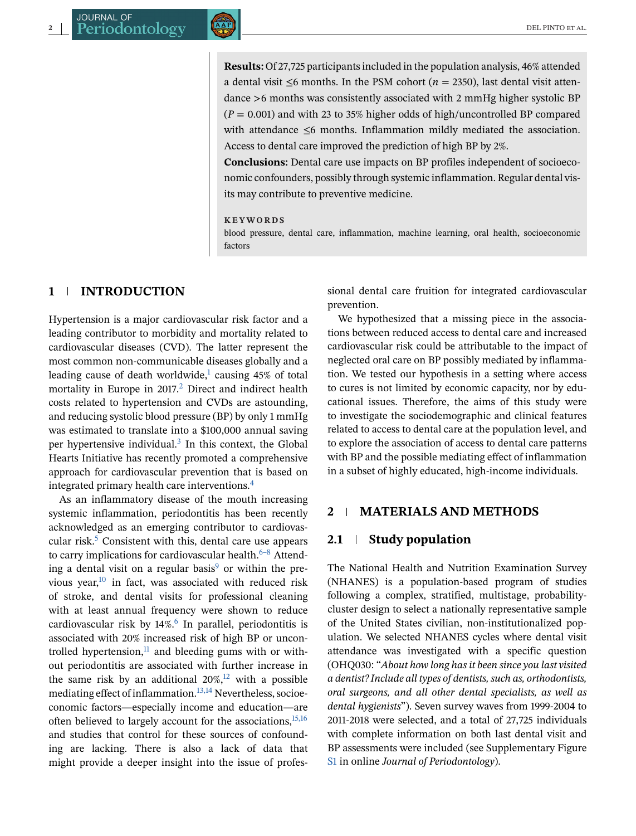**Results:** Of 27,725 participants included in the population analysis, 46% attended a dental visit  $\leq 6$  months. In the PSM cohort ( $n = 2350$ ), last dental visit attendance >6 months was consistently associated with 2 mmHg higher systolic BP  $(P = 0.001)$  and with 23 to 35% higher odds of high/uncontrolled BP compared with attendance ≤6 months. Inflammation mildly mediated the association. Access to dental care improved the prediction of high BP by 2%.

**Conclusions:** Dental care use impacts on BP profiles independent of socioeconomic confounders, possibly through systemic inflammation. Regular dental visits may contribute to preventive medicine.

#### **KEYWORDS**

blood pressure, dental care, inflammation, machine learning, oral health, socioeconomic factors

### **1 INTRODUCTION**

Hypertension is a major cardiovascular risk factor and a leading contributor to morbidity and mortality related to cardiovascular diseases (CVD). The latter represent the most common non-communicable diseases globally and a leading cause of death worldwide, $1$  causing 45% of total mortality in Europe in 2017.<sup>2</sup> Direct and indirect health costs related to hypertension and CVDs are astounding, and reducing systolic blood pressure (BP) by only 1 mmHg was estimated to translate into a \$100,000 annual saving per hypertensive individual. $3$  In this context, the Global Hearts Initiative has recently promoted a comprehensive approach for cardiovascular prevention that is based on integrated primary health care interventions[.4](#page-10-0)

As an inflammatory disease of the mouth increasing systemic inflammation, periodontitis has been recently acknowledged as an emerging contributor to cardiovascular risk. $5$  Consistent with this, dental care use appears to carry implications for cardiovascular health. $6-8$  Attend-ing a dental visit on a regular basis<sup>[9](#page-10-0)</sup> or within the previous year, $10$  in fact, was associated with reduced risk of stroke, and dental visits for professional cleaning with at least annual frequency were shown to reduce cardiovascular risk by  $14\%$ .<sup>[6](#page-10-0)</sup> In parallel, periodontitis is associated with 20% increased risk of high BP or uncontrolled hypertension, $11$  and bleeding gums with or without periodontitis are associated with further increase in the same risk by an additional  $20\%$ ,<sup>12</sup> with a possible mediating effect of inflammation.<sup>13,14</sup> Nevertheless, socioeconomic factors—especially income and education—are often believed to largely account for the associations,  $15,16$ and studies that control for these sources of confounding are lacking. There is also a lack of data that might provide a deeper insight into the issue of professional dental care fruition for integrated cardiovascular prevention.

We hypothesized that a missing piece in the associations between reduced access to dental care and increased cardiovascular risk could be attributable to the impact of neglected oral care on BP possibly mediated by inflammation. We tested our hypothesis in a setting where access to cures is not limited by economic capacity, nor by educational issues. Therefore, the aims of this study were to investigate the sociodemographic and clinical features related to access to dental care at the population level, and to explore the association of access to dental care patterns with BP and the possible mediating effect of inflammation in a subset of highly educated, high-income individuals.

#### **2 MATERIALS AND METHODS**

#### **2.1 Study population**

The National Health and Nutrition Examination Survey (NHANES) is a population-based program of studies following a complex, stratified, multistage, probabilitycluster design to select a nationally representative sample of the United States civilian, non-institutionalized population. We selected NHANES cycles where dental visit attendance was investigated with a specific question (OHQ030: "*About how long has it been since you last visited a dentist? Include all types of dentists, such as, orthodontists, oral surgeons, and all other dental specialists, as well as dental hygienists*"). Seven survey waves from 1999-2004 to 2011-2018 were selected, and a total of 27,725 individuals with complete information on both last dental visit and BP assessments were included (see Supplementary Figure S1 in online *Journal of Periodontology*).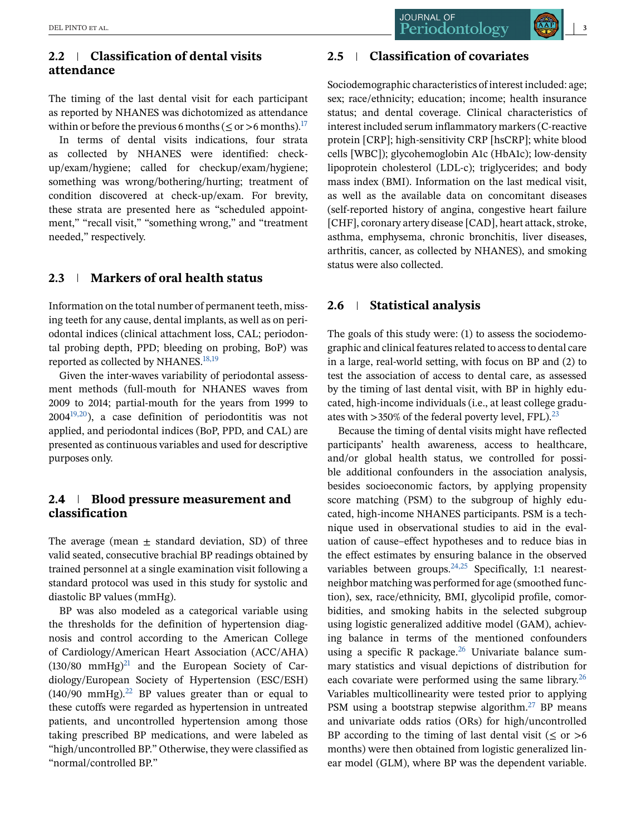# **2.2 Classification of dental visits attendance**

The timing of the last dental visit for each participant as reported by NHANES was dichotomized as attendance within or before the previous 6 months ( $\leq$  or >6 months).<sup>17</sup>

In terms of dental visits indications, four strata as collected by NHANES were identified: checkup/exam/hygiene; called for checkup/exam/hygiene; something was wrong/bothering/hurting; treatment of condition discovered at check-up/exam. For brevity, these strata are presented here as "scheduled appointment," "recall visit," "something wrong," and "treatment needed," respectively.

# **2.3 Markers of oral health status**

Information on the total number of permanent teeth, missing teeth for any cause, dental implants, as well as on periodontal indices (clinical attachment loss, CAL; periodontal probing depth, PPD; bleeding on probing, BoP) was reported as collected by NHANES. $18,19$ 

Given the inter-waves variability of periodontal assessment methods (full-mouth for NHANES waves from 2009 to 2014; partial-mouth for the years from 1999 to  $2004^{19,20}$ ), a case definition of periodontitis was not applied, and periodontal indices (BoP, PPD, and CAL) are presented as continuous variables and used for descriptive purposes only.

# **2.4 Blood pressure measurement and classification**

The average (mean  $\pm$  standard deviation, SD) of three valid seated, consecutive brachial BP readings obtained by trained personnel at a single examination visit following a standard protocol was used in this study for systolic and diastolic BP values (mmHg).

BP was also modeled as a categorical variable using the thresholds for the definition of hypertension diagnosis and control according to the American College of Cardiology/American Heart Association (ACC/AHA)  $(130/80 \text{ mmHg})^{21}$  $(130/80 \text{ mmHg})^{21}$  $(130/80 \text{ mmHg})^{21}$  and the European Society of Cardiology/European Society of Hypertension (ESC/ESH)  $(140/90 \text{ mmHg})^{22}$  BP values greater than or equal to these cutoffs were regarded as hypertension in untreated patients, and uncontrolled hypertension among those taking prescribed BP medications, and were labeled as "high/uncontrolled BP." Otherwise, they were classified as "normal/controlled BP."

# **2.5 Classification of covariates**

Sociodemographic characteristics of interest included: age; sex; race/ethnicity; education; income; health insurance status; and dental coverage. Clinical characteristics of interest included serum inflammatory markers (C-reactive protein [CRP]; high-sensitivity CRP [hsCRP]; white blood cells [WBC]); glycohemoglobin A1c (HbA1c); low-density lipoprotein cholesterol (LDL-c); triglycerides; and body mass index (BMI). Information on the last medical visit, as well as the available data on concomitant diseases (self-reported history of angina, congestive heart failure [CHF], coronary artery disease [CAD], heart attack, stroke, asthma, emphysema, chronic bronchitis, liver diseases, arthritis, cancer, as collected by NHANES), and smoking status were also collected.

#### **2.6 Statistical analysis**

The goals of this study were: (1) to assess the sociodemographic and clinical features related to access to dental care in a large, real-world setting, with focus on BP and (2) to test the association of access to dental care, as assessed by the timing of last dental visit, with BP in highly educated, high-income individuals (i.e., at least college graduates with  $>350\%$  of the federal poverty level, FPL).<sup>[23](#page-10-0)</sup>

Because the timing of dental visits might have reflected participants' health awareness, access to healthcare, and/or global health status, we controlled for possible additional confounders in the association analysis, besides socioeconomic factors, by applying propensity score matching (PSM) to the subgroup of highly educated, high-income NHANES participants. PSM is a technique used in observational studies to aid in the evaluation of cause–effect hypotheses and to reduce bias in the effect estimates by ensuring balance in the observed variables between groups. $24,25$  Specifically, 1:1 nearestneighbor matching was performed for age (smoothed function), sex, race/ethnicity, BMI, glycolipid profile, comorbidities, and smoking habits in the selected subgroup using logistic generalized additive model (GAM), achieving balance in terms of the mentioned confounders using a specific R package. $26$  Univariate balance summary statistics and visual depictions of distribution for each covariate were performed using the same library. $^{26}$ Variables multicollinearity were tested prior to applying PSM using a bootstrap stepwise algorithm.<sup>27</sup> BP means and univariate odds ratios (ORs) for high/uncontrolled BP according to the timing of last dental visit ( $\leq$  or  $>6$ months) were then obtained from logistic generalized linear model (GLM), where BP was the dependent variable.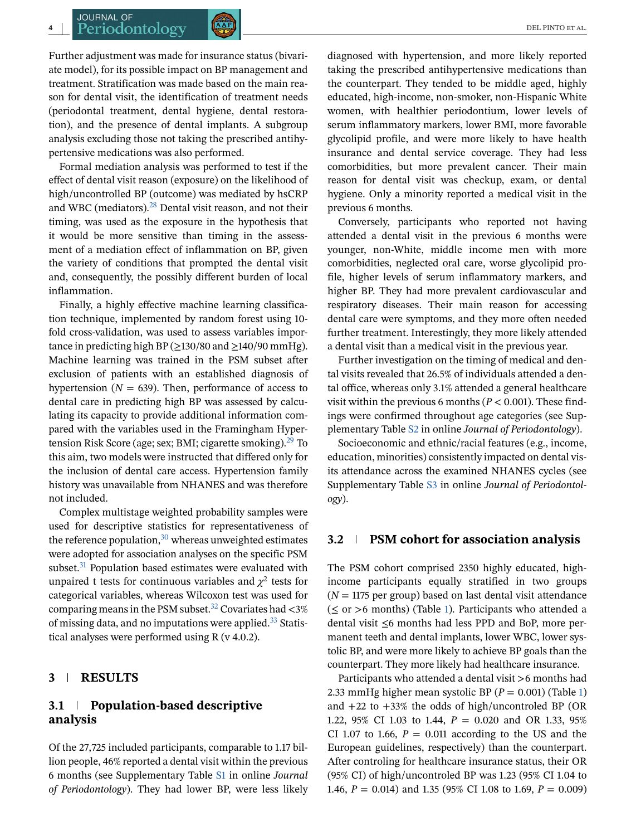#### **JOURNAL OF Periodontology**  $\left[\begin{array}{cc} \sqrt{AP} \\ \sqrt{AP} \end{array}\right]$

Further adjustment was made for insurance status (bivariate model), for its possible impact on BP management and treatment. Stratification was made based on the main reason for dental visit, the identification of treatment needs (periodontal treatment, dental hygiene, dental restoration), and the presence of dental implants. A subgroup analysis excluding those not taking the prescribed antihypertensive medications was also performed.

Formal mediation analysis was performed to test if the effect of dental visit reason (exposure) on the likelihood of high/uncontrolled BP (outcome) was mediated by hsCRP and WBC (mediators).<sup>[28](#page-11-0)</sup> Dental visit reason, and not their timing, was used as the exposure in the hypothesis that it would be more sensitive than timing in the assessment of a mediation effect of inflammation on BP, given the variety of conditions that prompted the dental visit and, consequently, the possibly different burden of local inflammation.

Finally, a highly effective machine learning classification technique, implemented by random forest using 10 fold cross-validation, was used to assess variables importance in predicting high BP ( $\geq$ 130/80 and  $\geq$ 140/90 mmHg). Machine learning was trained in the PSM subset after exclusion of patients with an established diagnosis of hypertension ( $N = 639$ ). Then, performance of access to dental care in predicting high BP was assessed by calculating its capacity to provide additional information compared with the variables used in the Framingham Hypertension Risk Score (age; sex; BMI; cigarette smoking).<sup>29</sup> To this aim, two models were instructed that differed only for the inclusion of dental care access. Hypertension family history was unavailable from NHANES and was therefore not included.

Complex multistage weighted probability samples were used for descriptive statistics for representativeness of the reference population, $30$  whereas unweighted estimates were adopted for association analyses on the specific PSM subset.<sup>31</sup> Population based estimates were evaluated with unpaired t tests for continuous variables and  $\chi^2$  tests for categorical variables, whereas Wilcoxon test was used for comparing means in the PSM subset.<sup>32</sup> Covariates had  $\langle 3\%$ of missing data, and no imputations were applied.<sup>33</sup> Statistical analyses were performed using R (v 4.0.2).

## **3 RESULTS**

### **3.1 Population-based descriptive analysis**

Of the 27,725 included participants, comparable to 1.17 billion people, 46% reported a dental visit within the previous 6 months (see Supplementary Table S1 in online *Journal of Periodontology*). They had lower BP, were less likely diagnosed with hypertension, and more likely reported taking the prescribed antihypertensive medications than the counterpart. They tended to be middle aged, highly educated, high-income, non-smoker, non-Hispanic White women, with healthier periodontium, lower levels of serum inflammatory markers, lower BMI, more favorable glycolipid profile, and were more likely to have health insurance and dental service coverage. They had less comorbidities, but more prevalent cancer. Their main reason for dental visit was checkup, exam, or dental hygiene. Only a minority reported a medical visit in the previous 6 months.

Conversely, participants who reported not having attended a dental visit in the previous 6 months were younger, non-White, middle income men with more comorbidities, neglected oral care, worse glycolipid profile, higher levels of serum inflammatory markers, and higher BP. They had more prevalent cardiovascular and respiratory diseases. Their main reason for accessing dental care were symptoms, and they more often needed further treatment. Interestingly, they more likely attended a dental visit than a medical visit in the previous year.

Further investigation on the timing of medical and dental visits revealed that 26.5% of individuals attended a dental office, whereas only 3.1% attended a general healthcare visit within the previous 6 months (*P* < 0.001). These findings were confirmed throughout age categories (see Supplementary Table S2 in online *Journal of Periodontology*).

Socioeconomic and ethnic/racial features (e.g., income, education, minorities) consistently impacted on dental visits attendance across the examined NHANES cycles (see Supplementary Table S3 in online *Journal of Periodontology*).

#### **3.2 PSM cohort for association analysis**

The PSM cohort comprised 2350 highly educated, highincome participants equally stratified in two groups  $(N = 1175$  per group) based on last dental visit attendance  $(\leq \text{or } >6 \text{ months})$  (Table [1\)](#page-4-0). Participants who attended a dental visit ≤6 months had less PPD and BoP, more permanent teeth and dental implants, lower WBC, lower systolic BP, and were more likely to achieve BP goals than the counterpart. They more likely had healthcare insurance.

Participants who attended a dental visit >6 months had 2.33 mmHg higher mean systolic BP (*P* = 0.001) (Table [1\)](#page-4-0) and +22 to +33% the odds of high/uncontroled BP (OR 1.22, 95% CI 1.03 to 1.44, *P* = 0.020 and OR 1.33, 95% CI 1.07 to 1.66,  $P = 0.011$  according to the US and the European guidelines, respectively) than the counterpart. After controling for healthcare insurance status, their OR (95% CI) of high/uncontroled BP was 1.23 (95% CI 1.04 to 1.46, *P* = 0.014) and 1.35 (95% CI 1.08 to 1.69, *P* = 0.009)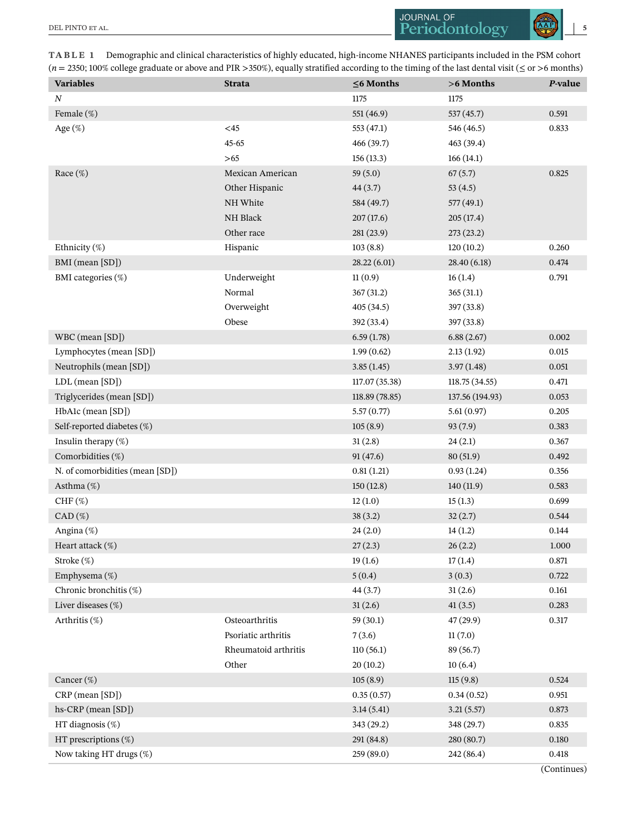<span id="page-4-0"></span>

| TABLE 1 Demographic and clinical characteristics of highly educated, high-income NHANES participants included in the PSM cohort                          |
|----------------------------------------------------------------------------------------------------------------------------------------------------------|
| $(n = 2350; 100\%$ college graduate or above and PIR > 350%), equally stratified according to the timing of the last dental visit ( $\leq$ or >6 months) |

| <b>Variables</b>                | <b>Strata</b>        | $\leq$ 6 Months | >6 Months       | P-value   |
|---------------------------------|----------------------|-----------------|-----------------|-----------|
| $\boldsymbol{N}$                |                      | 1175            | 1175            |           |
| Female (%)                      |                      | 551 (46.9)      | 537(45.7)       | 0.591     |
| Age (%)                         | $<$ 45               | 553 (47.1)      | 546 (46.5)      | 0.833     |
|                                 | 45-65                | 466 (39.7)      | 463 (39.4)      |           |
|                                 | >65                  | 156(13.3)       | 166(14.1)       |           |
| Race $(\%)$                     | Mexican American     | 59(5.0)         | 67(5.7)         | 0.825     |
|                                 | Other Hispanic       | 44(3.7)         | 53(4.5)         |           |
|                                 | NH White             | 584 (49.7)      | 577(49.1)       |           |
|                                 | NH Black             | 207(17.6)       | 205(17.4)       |           |
|                                 | Other race           | 281 (23.9)      | 273(23.2)       |           |
| Ethnicity $(\%)$                | Hispanic             | 103(8.8)        | 120(10.2)       | 0.260     |
| BMI (mean [SD])                 |                      | 28.22(6.01)     | 28.40 (6.18)    | 0.474     |
| BMI categories (%)              | Underweight          | 11(0.9)         | 16(1.4)         | 0.791     |
|                                 | Normal               | 367(31.2)       | 365(31.1)       |           |
|                                 | Overweight           | 405(34.5)       | 397(33.8)       |           |
|                                 | Obese                | 392 (33.4)      | 397 (33.8)      |           |
| WBC (mean [SD])                 |                      | 6.59(1.78)      | 6.88(2.67)      | 0.002     |
| Lymphocytes (mean [SD])         |                      | 1.99(0.62)      | 2.13(1.92)      | 0.015     |
| Neutrophils (mean [SD])         |                      | 3.85(1.45)      | 3.97(1.48)      | 0.051     |
| LDL (mean [SD])                 |                      | 117.07 (35.38)  | 118.75 (34.55)  | 0.471     |
| Triglycerides (mean [SD])       |                      | 118.89 (78.85)  | 137.56 (194.93) | 0.053     |
| HbA1c (mean [SD])               |                      | 5.57(0.77)      | 5.61(0.97)      | 0.205     |
| Self-reported diabetes (%)      |                      | 105(8.9)        | 93(7.9)         | 0.383     |
| Insulin therapy $(\%)$          |                      | 31(2.8)         | 24(2.1)         | 0.367     |
| Comorbidities (%)               |                      | 91(47.6)        | 80(51.9)        | 0.492     |
| N. of comorbidities (mean [SD]) |                      | 0.81(1.21)      | 0.93(1.24)      | 0.356     |
| Asthma $(\%)$                   |                      | 150(12.8)       | 140(11.9)       | 0.583     |
| $CHF$ (%)                       |                      | 12(1.0)         | 15(1.3)         | 0.699     |
| $CAD$ (%)                       |                      | 38(3.2)         | 32(2.7)         | 0.544     |
| Angina (%)                      |                      | 24(2.0)         | 14(1.2)         | 0.144     |
| Heart attack (%)                |                      | 27(2.3)         | 26(2.2)         | 1.000     |
| Stroke (%)                      |                      | 19(1.6)         | 17(1.4)         | $0.871\,$ |
| Emphysema (%)                   |                      | 5(0.4)          | 3(0.3)          | 0.722     |
| Chronic bronchitis (%)          |                      | 44(3.7)         | 31(2.6)         | 0.161     |
| Liver diseases (%)              |                      | 31(2.6)         | 41(3.5)         | 0.283     |
| Arthritis $(\%)$                | Osteoarthritis       | 59(30.1)        | 47(29.9)        | 0.317     |
|                                 | Psoriatic arthritis  | 7(3.6)          | 11(7.0)         |           |
|                                 | Rheumatoid arthritis | 110(56.1)       | 89(56.7)        |           |
|                                 | Other                | 20(10.2)        | 10(6.4)         |           |
| Cancer $(\%)$                   |                      | 105(8.9)        | 115(9.8)        | 0.524     |
| $CRP$ (mean $[SD]$ )            |                      | 0.35(0.57)      | 0.34(0.52)      | 0.951     |
| hs-CRP (mean [SD])              |                      | 3.14(5.41)      | 3.21(5.57)      | 0.873     |
| HT diagnosis (%)                |                      | 343 (29.2)      | 348 (29.7)      | 0.835     |
| HT prescriptions $(\%)$         |                      | 291 (84.8)      | 280(80.7)       | 0.180     |
| Now taking HT drugs (%)         |                      | 259 (89.0)      | 242 (86.4)      | 0.418     |

(Continues)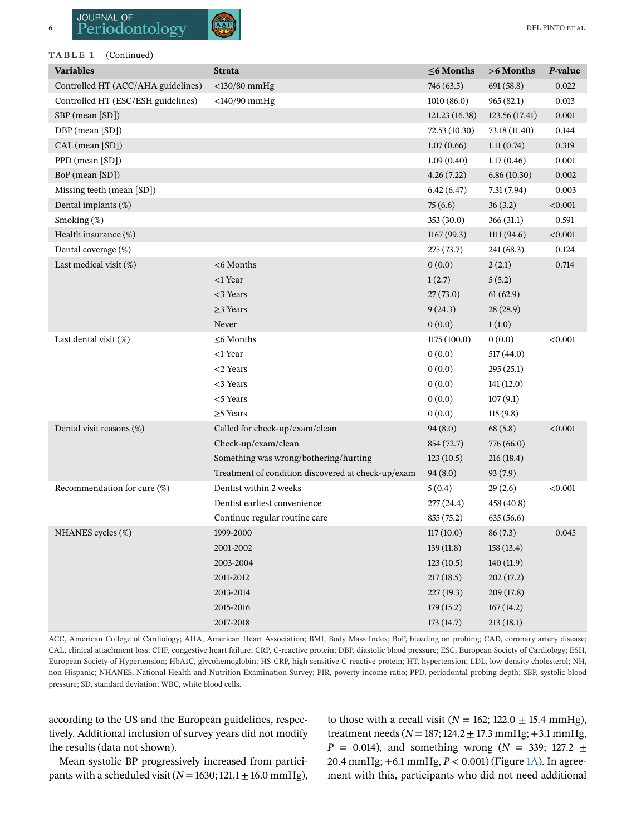**TABLE 1** (Continued)

| <b>Variables</b>                   | <b>Strata</b>                                      | $\leq$ 6 Months | >6 Months      | P-value |
|------------------------------------|----------------------------------------------------|-----------------|----------------|---------|
| Controlled HT (ACC/AHA guidelines) | $<$ 130/80 mmHg                                    | 746 (63.5)      | 691 (58.8)     | 0.022   |
| Controlled HT (ESC/ESH guidelines) | $<$ 140/90 mmHg                                    | 1010(86.0)      | 965(82.1)      | 0.013   |
| SBP (mean [SD])                    |                                                    | 121.23 (16.38)  | 123.56 (17.41) | 0.001   |
| DBP (mean [SD])                    |                                                    | 72.53 (10.30)   | 73.18 (11.40)  | 0.144   |
| CAL (mean [SD])                    |                                                    | 1.07(0.66)      | 1.11(0.74)     | 0.319   |
| PPD (mean [SD])                    |                                                    | 1.09(0.40)      | 1.17(0.46)     | 0.001   |
| BoP (mean [SD])                    |                                                    | 4.26(7.22)      | 6.86(10.30)    | 0.002   |
| Missing teeth (mean [SD])          |                                                    | 6.42(6.47)      | 7.31(7.94)     | 0.003   |
| Dental implants (%)                |                                                    | 75(6.6)         | 36(3.2)        | < 0.001 |
| Smoking (%)                        |                                                    | 353(30.0)       | 366 (31.1)     | 0.591   |
| Health insurance (%)               |                                                    | 1167(99.3)      | 1111(94.6)     | < 0.001 |
| Dental coverage (%)                |                                                    | 275(73.7)       | 241 (68.3)     | 0.124   |
| Last medical visit $(\%)$          | <6 Months                                          | 0(0.0)          | 2(2.1)         | 0.714   |
|                                    | $<$ 1 Year                                         | 1(2.7)          | 5(5.2)         |         |
|                                    | <3 Years                                           | 27(73.0)        | 61(62.9)       |         |
|                                    | $\geq$ 3 Years                                     | 9(24.3)         | 28(28.9)       |         |
|                                    | Never                                              | 0(0.0)          | 1(1.0)         |         |
| Last dental visit $(\%)$           | $\leq$ 6 Months                                    | 1175 (100.0)    | 0(0.0)         | < 0.001 |
|                                    | <1 Year                                            | 0(0.0)          | 517(44.0)      |         |
|                                    | $<$ 2 Years                                        | 0(0.0)          | 295(25.1)      |         |
|                                    | <3 Years                                           | 0(0.0)          | 141(12.0)      |         |
|                                    | $<$ Years                                          | 0(0.0)          | 107(9.1)       |         |
|                                    | $\geq$ 5 Years                                     | 0(0.0)          | 115(9.8)       |         |
| Dental visit reasons (%)           | Called for check-up/exam/clean                     | 94(8.0)         | 68(5.8)        | < 0.001 |
|                                    | Check-up/exam/clean                                | 854 (72.7)      | 776 (66.0)     |         |
|                                    | Something was wrong/bothering/hurting              | 123(10.5)       | 216(18.4)      |         |
|                                    | Treatment of condition discovered at check-up/exam | 94(8.0)         | 93(7.9)        |         |
| Recommendation for cure (%)        | Dentist within 2 weeks                             | 5(0.4)          | 29(2.6)        | < 0.001 |
|                                    | Dentist earliest convenience                       | 277(24.4)       | 458 (40.8)     |         |
|                                    | Continue regular routine care                      | 855 (75.2)      | 635 (56.6)     |         |
| NHANES cycles $(\%)$               | 1999-2000                                          | 117(10.0)       | 86(7.3)        | 0.045   |
|                                    | 2001-2002                                          | 139(11.8)       | 158(13.4)      |         |
|                                    | 2003-2004                                          | 123(10.5)       | 140(11.9)      |         |
|                                    | 2011-2012                                          | 217(18.5)       | 202 (17.2)     |         |
|                                    | 2013-2014                                          | 227(19.3)       | 209 (17.8)     |         |
|                                    | 2015-2016                                          | 179(15.2)       | 167(14.2)      |         |
|                                    | 2017-2018                                          | 173 (14.7)      | 213(18.1)      |         |

ACC, American College of Cardiology; AHA, American Heart Association; BMI, Body Mass Index; BoP, bleeding on probing; CAD, coronary artery disease; CAL, clinical attachment loss; CHF, congestive heart failure; CRP, C-reactive protein; DBP, diastolic blood pressure; ESC, European Society of Cardiology; ESH, European Society of Hypertension; HbA1C, glycohemoglobin; HS-CRP, high sensitive C-reactive protein; HT, hypertension; LDL, low-density cholesterol; NH, non-Hispanic; NHANES, National Health and Nutrition Examination Survey; PIR, poverty-income ratio; PPD, periodontal probing depth; SBP, systolic blood pressure; SD, standard deviation; WBC, white blood cells.

according to the US and the European guidelines, respectively. Additional inclusion of survey years did not modify the results (data not shown).

Mean systolic BP progressively increased from participants with a scheduled visit ( $N = 1630$ ; 121.1  $\pm$  16.0 mmHg),

to those with a recall visit ( $N = 162$ ; 122.0  $\pm$  15.4 mmHg), treatment needs (*N* = 187; 124.2 ± 17.3 mmHg; +3.1 mmHg, *P* = 0.014), and something wrong ( $N = 339$ ; 127.2  $\pm$ 20.4 mmHg; +6.1 mmHg, *P* < 0.001) (Figure [1A\)](#page-6-0). In agreement with this, participants who did not need additional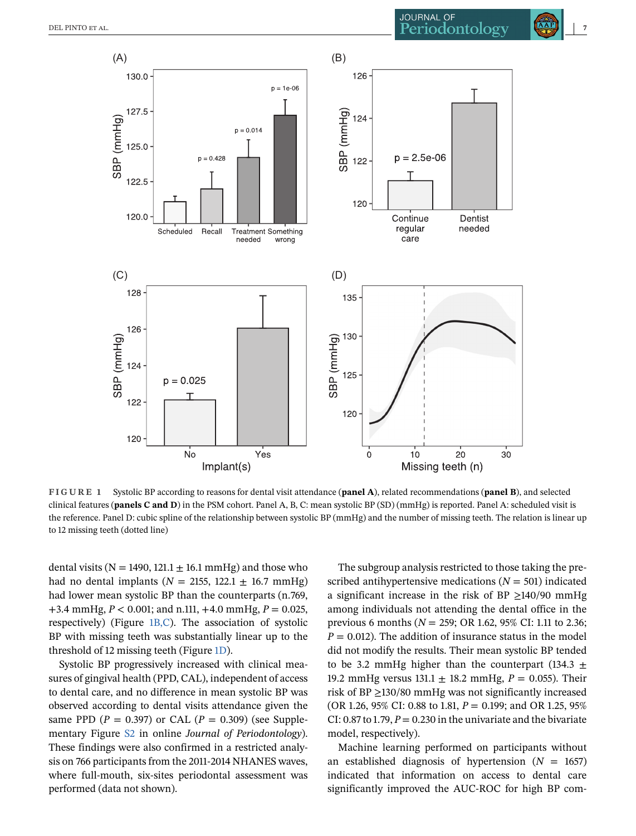<span id="page-6-0"></span>

**FIGURE 1** Systolic BP according to reasons for dental visit attendance (**panel A**), related recommendations (**panel B**), and selected clinical features (**panels C and D**) in the PSM cohort. Panel A, B, C: mean systolic BP (SD) (mmHg) is reported. Panel A: scheduled visit is the reference. Panel D: cubic spline of the relationship between systolic BP (mmHg) and the number of missing teeth. The relation is linear up to 12 missing teeth (dotted line)

dental visits ( $N = 1490$ , 121.1  $\pm$  16.1 mmHg) and those who had no dental implants ( $N = 2155$ , 122.1  $\pm$  16.7 mmHg) had lower mean systolic BP than the counterparts (n.769, +3.4 mmHg, *P* < 0.001; and n.111, +4.0 mmHg, *P* = 0.025, respectively) (Figure 1B,C). The association of systolic BP with missing teeth was substantially linear up to the threshold of 12 missing teeth (Figure 1D).

Systolic BP progressively increased with clinical measures of gingival health (PPD, CAL), independent of access to dental care, and no difference in mean systolic BP was observed according to dental visits attendance given the same PPD ( $P = 0.397$ ) or CAL ( $P = 0.309$ ) (see Supplementary Figure S2 in online *Journal of Periodontology*). These findings were also confirmed in a restricted analysis on 766 participants from the 2011-2014 NHANES waves, where full-mouth, six-sites periodontal assessment was performed (data not shown).

The subgroup analysis restricted to those taking the prescribed antihypertensive medications  $(N = 501)$  indicated a significant increase in the risk of BP  $\geq$ 140/90 mmHg among individuals not attending the dental office in the previous 6 months (*N* = 259; OR 1.62, 95% CI: 1.11 to 2.36;  $P = 0.012$ ). The addition of insurance status in the model did not modify the results. Their mean systolic BP tended to be 3.2 mmHg higher than the counterpart (134.3  $\pm$ 19.2 mmHg versus 131.1 ± 18.2 mmHg, *P* = 0.055). Their risk of BP ≥130/80 mmHg was not significantly increased (OR 1.26, 95% CI: 0.88 to 1.81, *P* = 0.199; and OR 1.25, 95% CI: 0.87 to 1.79,  $P = 0.230$  in the univariate and the bivariate model, respectively).

Machine learning performed on participants without an established diagnosis of hypertension  $(N = 1657)$ indicated that information on access to dental care significantly improved the AUC-ROC for high BP com-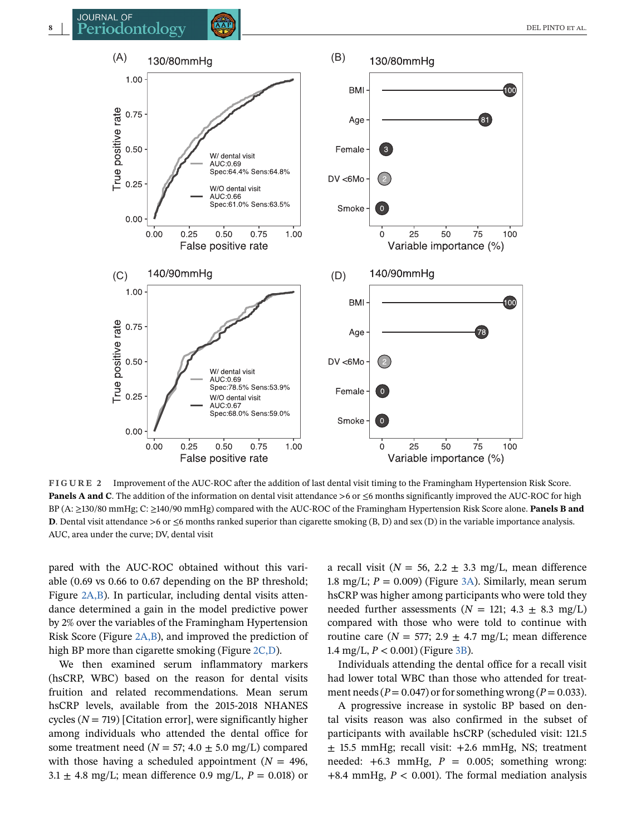

**FIGURE 2** Improvement of the AUC-ROC after the addition of last dental visit timing to the Framingham Hypertension Risk Score. **Panels A and C**. The addition of the information on dental visit attendance >6 or ≤6 months significantly improved the AUC-ROC for high BP (A: ≥130/80 mmHg; C: ≥140/90 mmHg) compared with the AUC-ROC of the Framingham Hypertension Risk Score alone. **Panels B and D**. Dental visit attendance >6 or  $\leq$ 6 months ranked superior than cigarette smoking (B, D) and sex (D) in the variable importance analysis. AUC, area under the curve; DV, dental visit

pared with the AUC-ROC obtained without this variable (0.69 vs 0.66 to 0.67 depending on the BP threshold; Figure 2A,B). In particular, including dental visits attendance determined a gain in the model predictive power by 2% over the variables of the Framingham Hypertension Risk Score (Figure 2A,B), and improved the prediction of high BP more than cigarette smoking (Figure 2C,D).

We then examined serum inflammatory markers (hsCRP, WBC) based on the reason for dental visits fruition and related recommendations. Mean serum hsCRP levels, available from the 2015-2018 NHANES cycles  $(N = 719)$  [Citation error], were significantly higher among individuals who attended the dental office for some treatment need ( $N = 57$ ; 4.0  $\pm$  5.0 mg/L) compared with those having a scheduled appointment ( $N = 496$ ,  $3.1 \pm 4.8$  mg/L; mean difference 0.9 mg/L,  $P = 0.018$ ) or

a recall visit ( $N = 56$ ,  $2.2 \pm 3.3$  mg/L, mean difference 1.8 mg/L;  $P = 0.009$ ) (Figure [3A\)](#page-8-0). Similarly, mean serum hsCRP was higher among participants who were told they needed further assessments ( $N = 121$ ; 4.3  $\pm$  8.3 mg/L) compared with those who were told to continue with routine care ( $N = 577$ ; 2.9  $\pm$  4.7 mg/L; mean difference 1.4 mg/L,  $P < 0.001$ ) (Figure [3B\)](#page-8-0).

Individuals attending the dental office for a recall visit had lower total WBC than those who attended for treatment needs ( $P = 0.047$ ) or for something wrong ( $P = 0.033$ ).

A progressive increase in systolic BP based on dental visits reason was also confirmed in the subset of participants with available hsCRP (scheduled visit: 121.5  $\pm$  15.5 mmHg; recall visit:  $+2.6$  mmHg, NS; treatment needed:  $+6.3$  mmHg,  $P = 0.005$ ; something wrong: +8.4 mmHg, *P* < 0.001). The formal mediation analysis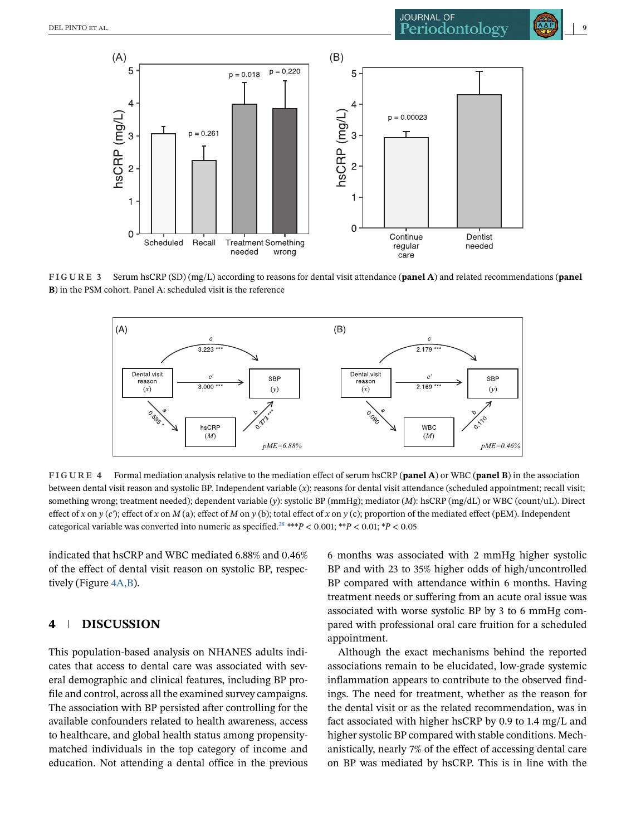<span id="page-8-0"></span>

**FIGURE 3** Serum hsCRP (SD) (mg/L) according to reasons for dental visit attendance (**panel A**) and related recommendations (**panel B**) in the PSM cohort. Panel A: scheduled visit is the reference



**FIGURE 4** Formal mediation analysis relative to the mediation effect of serum hsCRP (**panel A**) or WBC (**panel B**) in the association between dental visit reason and systolic BP. Independent variable (*x*): reasons for dental visit attendance (scheduled appointment; recall visit; something wrong; treatment needed); dependent variable (*y*): systolic BP (mmHg); mediator (*M*): hsCRP (mg/dL) or WBC (count/uL). Direct effect of *x* on *y* (*c*'); effect of *x* on *M* (a); effect of *M* on *y* (b); total effect of *x* on *y* (c); proportion of the mediated effect (pEM). Independent categorical variable was converted into numeric as specified.<sup>[28](#page-11-0)</sup> \*\*\* $P < 0.001$ ; \* $P < 0.01$ ; \* $P < 0.05$ 

indicated that hsCRP and WBC mediated 6.88% and 0.46% of the effect of dental visit reason on systolic BP, respectively (Figure 4A,B).

# **4 DISCUSSION**

This population-based analysis on NHANES adults indicates that access to dental care was associated with several demographic and clinical features, including BP profile and control, across all the examined survey campaigns. The association with BP persisted after controlling for the available confounders related to health awareness, access to healthcare, and global health status among propensitymatched individuals in the top category of income and education. Not attending a dental office in the previous 6 months was associated with 2 mmHg higher systolic BP and with 23 to 35% higher odds of high/uncontrolled BP compared with attendance within 6 months. Having treatment needs or suffering from an acute oral issue was associated with worse systolic BP by 3 to 6 mmHg compared with professional oral care fruition for a scheduled appointment.

Although the exact mechanisms behind the reported associations remain to be elucidated, low-grade systemic inflammation appears to contribute to the observed findings. The need for treatment, whether as the reason for the dental visit or as the related recommendation, was in fact associated with higher hsCRP by 0.9 to 1.4 mg/L and higher systolic BP compared with stable conditions. Mechanistically, nearly 7% of the effect of accessing dental care on BP was mediated by hsCRP. This is in line with the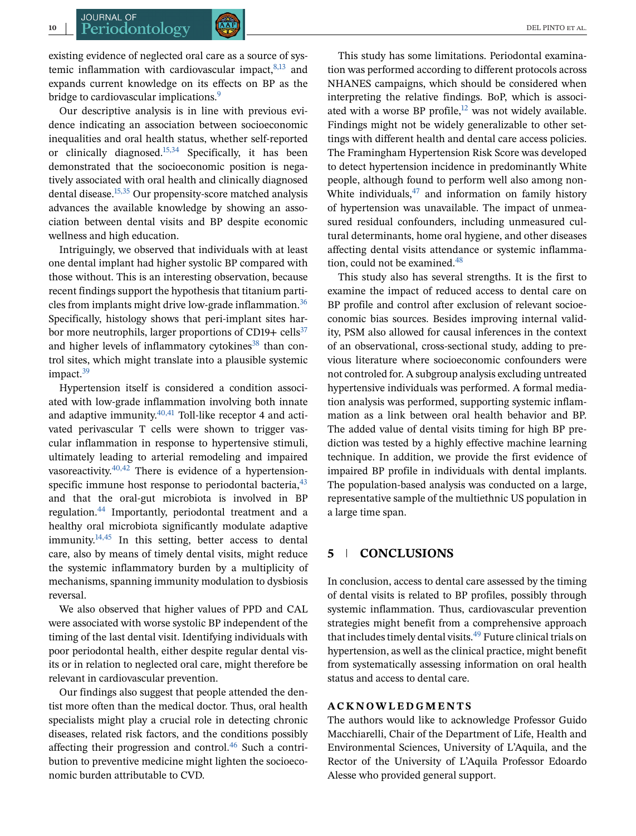existing evidence of neglected oral care as a source of systemic inflammation with cardiovascular impact, $8,13$  and expands current knowledge on its effects on BP as the bridge to cardiovascular implications.<sup>[9](#page-10-0)</sup>

Our descriptive analysis is in line with previous evidence indicating an association between socioeconomic inequalities and oral health status, whether self-reported or clinically diagnosed.<sup>15,34</sup> Specifically, it has been demonstrated that the socioeconomic position is negatively associated with oral health and clinically diagnosed dental disease.[15,35](#page-10-0) Our propensity-score matched analysis advances the available knowledge by showing an association between dental visits and BP despite economic wellness and high education.

Intriguingly, we observed that individuals with at least one dental implant had higher systolic BP compared with those without. This is an interesting observation, because recent findings support the hypothesis that titanium particles from implants might drive low-grade inflammation.<sup>36</sup> Specifically, histology shows that peri-implant sites harbor more neutrophils, larger proportions of CD19+  $\text{cells}^{37}$ and higher levels of inflammatory cytokines $38$  than control sites, which might translate into a plausible systemic impact. $39$ 

Hypertension itself is considered a condition associated with low-grade inflammation involving both innate and adaptive immunity. $40,41$  Toll-like receptor 4 and activated perivascular T cells were shown to trigger vascular inflammation in response to hypertensive stimuli, ultimately leading to arterial remodeling and impaired vasoreactivity. $40,42$  There is evidence of a hypertensionspecific immune host response to periodontal bacteria,  $43$ and that the oral-gut microbiota is involved in BP regulation[.44](#page-11-0) Importantly, periodontal treatment and a healthy oral microbiota significantly modulate adaptive immunity.<sup>14,45</sup> In this setting, better access to dental care, also by means of timely dental visits, might reduce the systemic inflammatory burden by a multiplicity of mechanisms, spanning immunity modulation to dysbiosis reversal.

We also observed that higher values of PPD and CAL were associated with worse systolic BP independent of the timing of the last dental visit. Identifying individuals with poor periodontal health, either despite regular dental visits or in relation to neglected oral care, might therefore be relevant in cardiovascular prevention.

Our findings also suggest that people attended the dentist more often than the medical doctor. Thus, oral health specialists might play a crucial role in detecting chronic diseases, related risk factors, and the conditions possibly affecting their progression and control.<sup>46</sup> Such a contribution to preventive medicine might lighten the socioeconomic burden attributable to CVD.

This study has some limitations. Periodontal examination was performed according to different protocols across NHANES campaigns, which should be considered when interpreting the relative findings. BoP, which is associated with a worse BP profile, $12$  was not widely available. Findings might not be widely generalizable to other settings with different health and dental care access policies. The Framingham Hypertension Risk Score was developed to detect hypertension incidence in predominantly White people, although found to perform well also among non-White individuals, $47$  and information on family history of hypertension was unavailable. The impact of unmeasured residual confounders, including unmeasured cultural determinants, home oral hygiene, and other diseases affecting dental visits attendance or systemic inflammation, could not be examined.<sup>48</sup>

This study also has several strengths. It is the first to examine the impact of reduced access to dental care on BP profile and control after exclusion of relevant socioeconomic bias sources. Besides improving internal validity, PSM also allowed for causal inferences in the context of an observational, cross-sectional study, adding to previous literature where socioeconomic confounders were not controled for. A subgroup analysis excluding untreated hypertensive individuals was performed. A formal mediation analysis was performed, supporting systemic inflammation as a link between oral health behavior and BP. The added value of dental visits timing for high BP prediction was tested by a highly effective machine learning technique. In addition, we provide the first evidence of impaired BP profile in individuals with dental implants. The population-based analysis was conducted on a large, representative sample of the multiethnic US population in a large time span.

# **5 CONCLUSIONS**

In conclusion, access to dental care assessed by the timing of dental visits is related to BP profiles, possibly through systemic inflammation. Thus, cardiovascular prevention strategies might benefit from a comprehensive approach that includes timely dental visits.<sup>[49](#page-11-0)</sup> Future clinical trials on hypertension, as well as the clinical practice, might benefit from systematically assessing information on oral health status and access to dental care.

#### **ACKNOWLEDGMENTS**

The authors would like to acknowledge Professor Guido Macchiarelli, Chair of the Department of Life, Health and Environmental Sciences, University of L'Aquila, and the Rector of the University of L'Aquila Professor Edoardo Alesse who provided general support.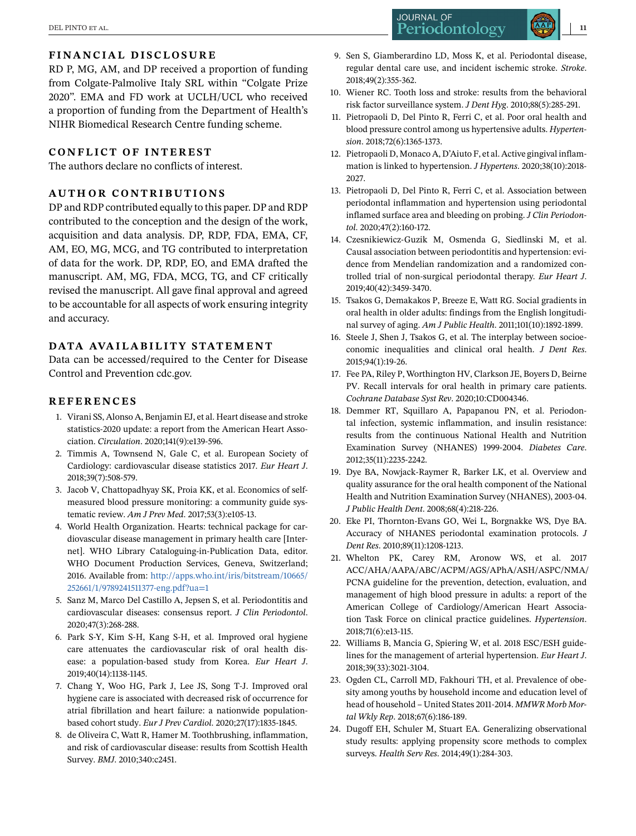# <span id="page-10-0"></span>**FINANCIAL DISCLOSURE**

RD P, MG, AM, and DP received a proportion of funding from Colgate-Palmolive Italy SRL within "Colgate Prize 2020". EMA and FD work at UCLH/UCL who received a proportion of funding from the Department of Health's NIHR Biomedical Research Centre funding scheme.

#### **CONFLICT OF INTEREST**

The authors declare no conflicts of interest.

#### **AUTHOR CONTRIBUTIONS**

DP and RDP contributed equally to this paper. DP and RDP contributed to the conception and the design of the work, acquisition and data analysis. DP, RDP, FDA, EMA, CF, AM, EO, MG, MCG, and TG contributed to interpretation of data for the work. DP, RDP, EO, and EMA drafted the manuscript. AM, MG, FDA, MCG, TG, and CF critically revised the manuscript. All gave final approval and agreed to be accountable for all aspects of work ensuring integrity and accuracy.

#### DATA AVAILABILITY STATEMENT

Data can be accessed/required to the Center for Disease Control and Prevention cdc.gov.

#### **REFERENCES**

- 1. Virani SS, Alonso A, Benjamin EJ, et al. Heart disease and stroke statistics-2020 update: a report from the American Heart Association. *Circulation*. 2020;141(9):e139-596.
- 2. Timmis A, Townsend N, Gale C, et al. European Society of Cardiology: cardiovascular disease statistics 2017. *Eur Heart J*. 2018;39(7):508-579.
- 3. Jacob V, Chattopadhyay SK, Proia KK, et al. Economics of selfmeasured blood pressure monitoring: a community guide systematic review. *Am J Prev Med*. 2017;53(3):e105-13.
- 4. World Health Organization. Hearts: technical package for cardiovascular disease management in primary health care [Internet]. WHO Library Cataloguing-in-Publication Data, editor. WHO Document Production Services, Geneva, Switzerland; 2016. Available from: [http://apps.who.int/iris/bitstream/10665/](http://apps.who.int/iris/bitstream/10665/252661/1/9789241511377-eng.pdf?ua=1) [252661/1/9789241511377-eng.pdf?ua=1](http://apps.who.int/iris/bitstream/10665/252661/1/9789241511377-eng.pdf?ua=1)
- 5. Sanz M, Marco Del Castillo A, Jepsen S, et al. Periodontitis and cardiovascular diseases: consensus report. *J Clin Periodontol*. 2020;47(3):268-288.
- 6. Park S-Y, Kim S-H, Kang S-H, et al. Improved oral hygiene care attenuates the cardiovascular risk of oral health disease: a population-based study from Korea. *Eur Heart J*. 2019;40(14):1138-1145.
- 7. Chang Y, Woo HG, Park J, Lee JS, Song T-J. Improved oral hygiene care is associated with decreased risk of occurrence for atrial fibrillation and heart failure: a nationwide populationbased cohort study. *Eur J Prev Cardiol*. 2020;27(17):1835-1845.
- 8. de Oliveira C, Watt R, Hamer M. Toothbrushing, inflammation, and risk of cardiovascular disease: results from Scottish Health Survey. *BMJ*. 2010;340:c2451.
- 9. Sen S, Giamberardino LD, Moss K, et al. Periodontal disease, regular dental care use, and incident ischemic stroke. *Stroke*. 2018;49(2):355-362.
- 10. Wiener RC. Tooth loss and stroke: results from the behavioral risk factor surveillance system. *J Dent Hyg*. 2010;88(5):285-291.
- 11. Pietropaoli D, Del Pinto R, Ferri C, et al. Poor oral health and blood pressure control among us hypertensive adults. *Hypertension*. 2018;72(6):1365-1373.
- 12. Pietropaoli D, Monaco A, D'Aiuto F, et al. Active gingival inflammation is linked to hypertension. *J Hypertens*. 2020;38(10):2018- 2027.
- 13. Pietropaoli D, Del Pinto R, Ferri C, et al. Association between periodontal inflammation and hypertension using periodontal inflamed surface area and bleeding on probing. *J Clin Periodontol*. 2020;47(2):160-172.
- 14. Czesnikiewicz-Guzik M, Osmenda G, Siedlinski M, et al. Causal association between periodontitis and hypertension: evidence from Mendelian randomization and a randomized controlled trial of non-surgical periodontal therapy. *Eur Heart J*. 2019;40(42):3459-3470.
- 15. Tsakos G, Demakakos P, Breeze E, Watt RG. Social gradients in oral health in older adults: findings from the English longitudinal survey of aging. *Am J Public Health*. 2011;101(10):1892-1899.
- 16. Steele J, Shen J, Tsakos G, et al. The interplay between socioeconomic inequalities and clinical oral health. *J Dent Res*. 2015;94(1):19-26.
- 17. Fee PA, Riley P, Worthington HV, Clarkson JE, Boyers D, Beirne PV. Recall intervals for oral health in primary care patients. *Cochrane Database Syst Rev*. 2020;10:CD004346.
- 18. Demmer RT, Squillaro A, Papapanou PN, et al. Periodontal infection, systemic inflammation, and insulin resistance: results from the continuous National Health and Nutrition Examination Survey (NHANES) 1999-2004. *Diabetes Care*. 2012;35(11):2235-2242.
- 19. Dye BA, Nowjack-Raymer R, Barker LK, et al. Overview and quality assurance for the oral health component of the National Health and Nutrition Examination Survey (NHANES), 2003-04. *J Public Health Dent*. 2008;68(4):218-226.
- 20. Eke PI, Thornton-Evans GO, Wei L, Borgnakke WS, Dye BA. Accuracy of NHANES periodontal examination protocols. *J Dent Res*. 2010;89(11):1208-1213.
- 21. Whelton PK, Carey RM, Aronow WS, et al. 2017 ACC/AHA/AAPA/ABC/ACPM/AGS/APhA/ASH/ASPC/NMA/ PCNA guideline for the prevention, detection, evaluation, and management of high blood pressure in adults: a report of the American College of Cardiology/American Heart Association Task Force on clinical practice guidelines. *Hypertension*. 2018;71(6):e13-115.
- 22. Williams B, Mancia G, Spiering W, et al. 2018 ESC/ESH guidelines for the management of arterial hypertension. *Eur Heart J*. 2018;39(33):3021-3104.
- 23. Ogden CL, Carroll MD, Fakhouri TH, et al. Prevalence of obesity among youths by household income and education level of head of household – United States 2011-2014. *MMWR Morb Mortal Wkly Rep*. 2018;67(6):186-189.
- 24. Dugoff EH, Schuler M, Stuart EA. Generalizing observational study results: applying propensity score methods to complex surveys. *Health Serv Res*. 2014;49(1):284-303.